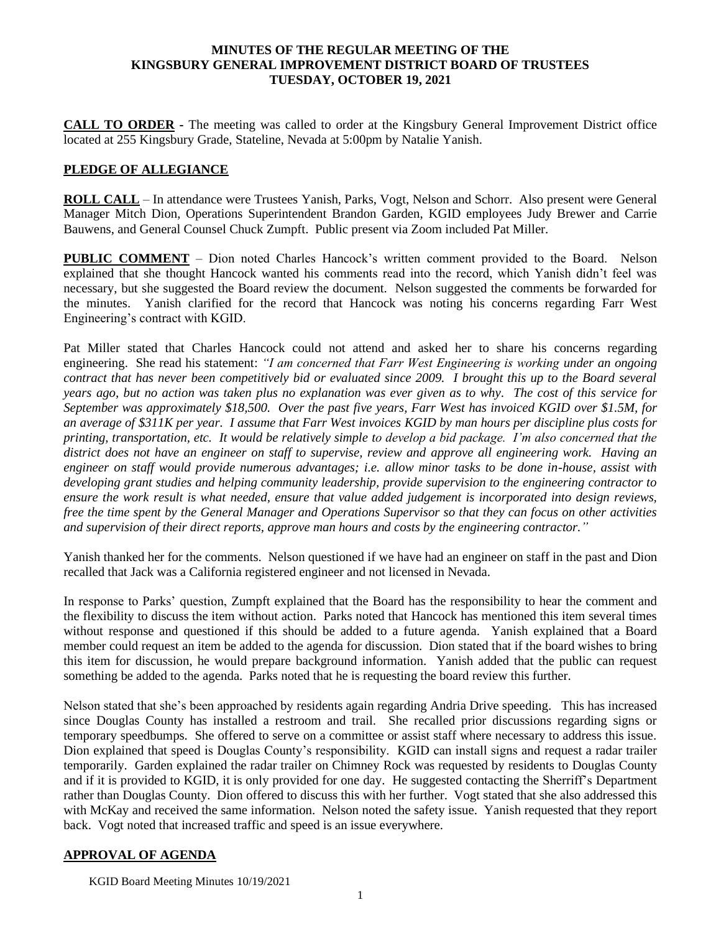#### **MINUTES OF THE REGULAR MEETING OF THE KINGSBURY GENERAL IMPROVEMENT DISTRICT BOARD OF TRUSTEES TUESDAY, OCTOBER 19, 2021**

**CALL TO ORDER -** The meeting was called to order at the Kingsbury General Improvement District office located at 255 Kingsbury Grade, Stateline, Nevada at 5:00pm by Natalie Yanish.

## **PLEDGE OF ALLEGIANCE**

**ROLL CALL** – In attendance were Trustees Yanish, Parks, Vogt, Nelson and Schorr. Also present were General Manager Mitch Dion, Operations Superintendent Brandon Garden, KGID employees Judy Brewer and Carrie Bauwens, and General Counsel Chuck Zumpft. Public present via Zoom included Pat Miller.

**PUBLIC COMMENT** – Dion noted Charles Hancock's written comment provided to the Board. Nelson explained that she thought Hancock wanted his comments read into the record, which Yanish didn't feel was necessary, but she suggested the Board review the document. Nelson suggested the comments be forwarded for the minutes. Yanish clarified for the record that Hancock was noting his concerns regarding Farr West Engineering's contract with KGID.

Pat Miller stated that Charles Hancock could not attend and asked her to share his concerns regarding engineering. She read his statement: *"I am concerned that Farr West Engineering is working under an ongoing contract that has never been competitively bid or evaluated since 2009. I brought this up to the Board several years ago, but no action was taken plus no explanation was ever given as to why. The cost of this service for September was approximately \$18,500. Over the past five years, Farr West has invoiced KGID over \$1.5M, for an average of \$311K per year. I assume that Farr West invoices KGID by man hours per discipline plus costs for printing, transportation, etc. It would be relatively simple to develop a bid package. I'm also concerned that the district does not have an engineer on staff to supervise, review and approve all engineering work. Having an engineer on staff would provide numerous advantages; i.e. allow minor tasks to be done in-house, assist with developing grant studies and helping community leadership, provide supervision to the engineering contractor to ensure the work result is what needed, ensure that value added judgement is incorporated into design reviews, free the time spent by the General Manager and Operations Supervisor so that they can focus on other activities and supervision of their direct reports, approve man hours and costs by the engineering contractor."*

Yanish thanked her for the comments. Nelson questioned if we have had an engineer on staff in the past and Dion recalled that Jack was a California registered engineer and not licensed in Nevada.

In response to Parks' question, Zumpft explained that the Board has the responsibility to hear the comment and the flexibility to discuss the item without action. Parks noted that Hancock has mentioned this item several times without response and questioned if this should be added to a future agenda. Yanish explained that a Board member could request an item be added to the agenda for discussion. Dion stated that if the board wishes to bring this item for discussion, he would prepare background information. Yanish added that the public can request something be added to the agenda. Parks noted that he is requesting the board review this further.

Nelson stated that she's been approached by residents again regarding Andria Drive speeding. This has increased since Douglas County has installed a restroom and trail. She recalled prior discussions regarding signs or temporary speedbumps. She offered to serve on a committee or assist staff where necessary to address this issue. Dion explained that speed is Douglas County's responsibility. KGID can install signs and request a radar trailer temporarily. Garden explained the radar trailer on Chimney Rock was requested by residents to Douglas County and if it is provided to KGID, it is only provided for one day. He suggested contacting the Sherriff's Department rather than Douglas County. Dion offered to discuss this with her further. Vogt stated that she also addressed this with McKay and received the same information. Nelson noted the safety issue. Yanish requested that they report back. Vogt noted that increased traffic and speed is an issue everywhere.

# **APPROVAL OF AGENDA**

KGID Board Meeting Minutes 10/19/2021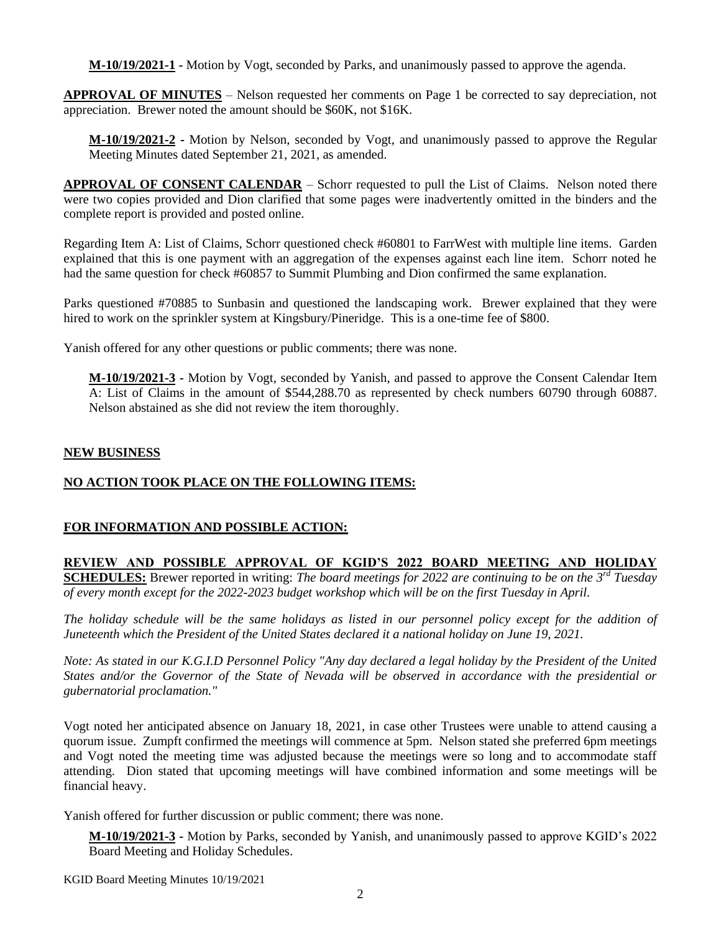**M-10/19/2021-1 -** Motion by Vogt, seconded by Parks, and unanimously passed to approve the agenda.

**APPROVAL OF MINUTES** – Nelson requested her comments on Page 1 be corrected to say depreciation, not appreciation. Brewer noted the amount should be \$60K, not \$16K.

**M-10/19/2021-2 -** Motion by Nelson, seconded by Vogt, and unanimously passed to approve the Regular Meeting Minutes dated September 21, 2021, as amended.

**APPROVAL OF CONSENT CALENDAR** – Schorr requested to pull the List of Claims. Nelson noted there were two copies provided and Dion clarified that some pages were inadvertently omitted in the binders and the complete report is provided and posted online.

Regarding Item A: List of Claims, Schorr questioned check #60801 to FarrWest with multiple line items. Garden explained that this is one payment with an aggregation of the expenses against each line item. Schorr noted he had the same question for check #60857 to Summit Plumbing and Dion confirmed the same explanation.

Parks questioned #70885 to Sunbasin and questioned the landscaping work. Brewer explained that they were hired to work on the sprinkler system at Kingsbury/Pineridge. This is a one-time fee of \$800.

Yanish offered for any other questions or public comments; there was none.

**M-10/19/2021-3 -** Motion by Vogt, seconded by Yanish, and passed to approve the Consent Calendar Item A: List of Claims in the amount of \$544,288.70 as represented by check numbers 60790 through 60887. Nelson abstained as she did not review the item thoroughly.

## **NEW BUSINESS**

## **NO ACTION TOOK PLACE ON THE FOLLOWING ITEMS:**

## **FOR INFORMATION AND POSSIBLE ACTION:**

## **REVIEW AND POSSIBLE APPROVAL OF KGID'S 2022 BOARD MEETING AND HOLIDAY**

**SCHEDULES:** Brewer reported in writing: *The board meetings for 2022 are continuing to be on the 3rd Tuesday of every month except for the 2022-2023 budget workshop which will be on the first Tuesday in April.* 

*The holiday schedule will be the same holidays as listed in our personnel policy except for the addition of Juneteenth which the President of the United States declared it a national holiday on June 19, 2021.* 

*Note: As stated in our K.G.I.D Personnel Policy "Any day declared a legal holiday by the President of the United States and/or the Governor of the State of Nevada will be observed in accordance with the presidential or gubernatorial proclamation."*

Vogt noted her anticipated absence on January 18, 2021, in case other Trustees were unable to attend causing a quorum issue. Zumpft confirmed the meetings will commence at 5pm. Nelson stated she preferred 6pm meetings and Vogt noted the meeting time was adjusted because the meetings were so long and to accommodate staff attending. Dion stated that upcoming meetings will have combined information and some meetings will be financial heavy.

Yanish offered for further discussion or public comment; there was none.

**M-10/19/2021-3 -** Motion by Parks, seconded by Yanish, and unanimously passed to approve KGID's 2022 Board Meeting and Holiday Schedules.

KGID Board Meeting Minutes 10/19/2021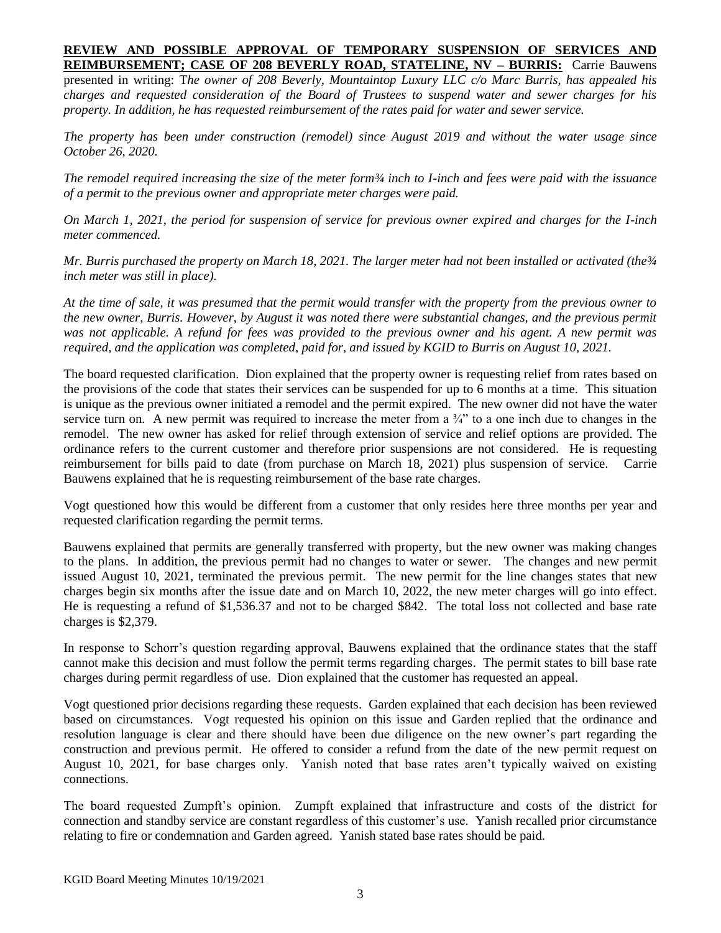#### **REVIEW AND POSSIBLE APPROVAL OF TEMPORARY SUSPENSION OF SERVICES AND REIMBURSEMENT; CASE OF 208 BEVERLY ROAD, STATELINE, NV – BURRIS:** Carrie Bauwens

presented in writing: T*he owner of 208 Beverly, Mountaintop Luxury LLC c/o Marc Burris, has appealed his charges and requested consideration of the Board of Trustees to suspend water and sewer charges for his property. In addition, he has requested reimbursement of the rates paid for water and sewer service.* 

*The property has been under construction (remodel) since August 2019 and without the water usage since October 26, 2020.* 

*The remodel required increasing the size of the meter form¾ inch to I-inch and fees were paid with the issuance of a permit to the previous owner and appropriate meter charges were paid.* 

*On March 1, 2021, the period for suspension of service for previous owner expired and charges for the I-inch meter commenced.* 

*Mr. Burris purchased the property on March 18, 2021. The larger meter had not been installed or activated (the¾ inch meter was still in place).* 

*At the time of sale, it was presumed that the permit would transfer with the property from the previous owner to the new owner, Burris. However, by August it was noted there were substantial changes, and the previous permit was not applicable. A refund for fees was provided to the previous owner and his agent. A new permit was required, and the application was completed, paid for, and issued by KGID to Burris on August 10, 2021.*

The board requested clarification. Dion explained that the property owner is requesting relief from rates based on the provisions of the code that states their services can be suspended for up to 6 months at a time. This situation is unique as the previous owner initiated a remodel and the permit expired. The new owner did not have the water service turn on. A new permit was required to increase the meter from a  $\frac{3}{4}$  to a one inch due to changes in the remodel. The new owner has asked for relief through extension of service and relief options are provided. The ordinance refers to the current customer and therefore prior suspensions are not considered. He is requesting reimbursement for bills paid to date (from purchase on March 18, 2021) plus suspension of service. Carrie Bauwens explained that he is requesting reimbursement of the base rate charges.

Vogt questioned how this would be different from a customer that only resides here three months per year and requested clarification regarding the permit terms.

Bauwens explained that permits are generally transferred with property, but the new owner was making changes to the plans. In addition, the previous permit had no changes to water or sewer. The changes and new permit issued August 10, 2021, terminated the previous permit. The new permit for the line changes states that new charges begin six months after the issue date and on March 10, 2022, the new meter charges will go into effect. He is requesting a refund of \$1,536.37 and not to be charged \$842. The total loss not collected and base rate charges is \$2,379.

In response to Schorr's question regarding approval, Bauwens explained that the ordinance states that the staff cannot make this decision and must follow the permit terms regarding charges. The permit states to bill base rate charges during permit regardless of use. Dion explained that the customer has requested an appeal.

Vogt questioned prior decisions regarding these requests. Garden explained that each decision has been reviewed based on circumstances. Vogt requested his opinion on this issue and Garden replied that the ordinance and resolution language is clear and there should have been due diligence on the new owner's part regarding the construction and previous permit. He offered to consider a refund from the date of the new permit request on August 10, 2021, for base charges only. Yanish noted that base rates aren't typically waived on existing connections.

The board requested Zumpft's opinion. Zumpft explained that infrastructure and costs of the district for connection and standby service are constant regardless of this customer's use. Yanish recalled prior circumstance relating to fire or condemnation and Garden agreed. Yanish stated base rates should be paid.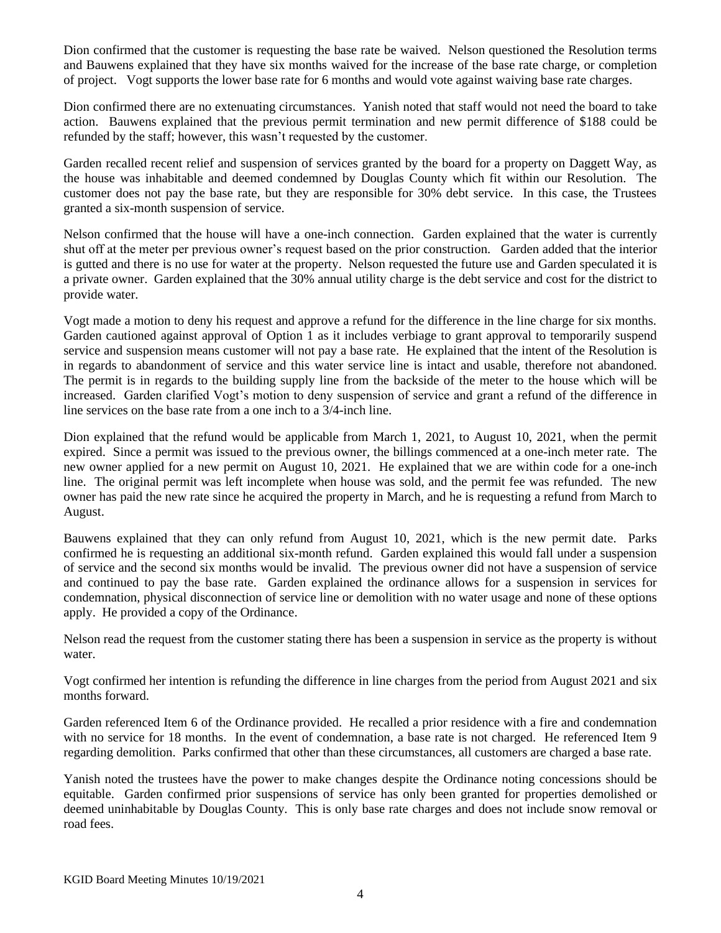Dion confirmed that the customer is requesting the base rate be waived. Nelson questioned the Resolution terms and Bauwens explained that they have six months waived for the increase of the base rate charge, or completion of project. Vogt supports the lower base rate for 6 months and would vote against waiving base rate charges.

Dion confirmed there are no extenuating circumstances. Yanish noted that staff would not need the board to take action. Bauwens explained that the previous permit termination and new permit difference of \$188 could be refunded by the staff; however, this wasn't requested by the customer.

Garden recalled recent relief and suspension of services granted by the board for a property on Daggett Way, as the house was inhabitable and deemed condemned by Douglas County which fit within our Resolution. The customer does not pay the base rate, but they are responsible for 30% debt service. In this case, the Trustees granted a six-month suspension of service.

Nelson confirmed that the house will have a one-inch connection. Garden explained that the water is currently shut off at the meter per previous owner's request based on the prior construction. Garden added that the interior is gutted and there is no use for water at the property. Nelson requested the future use and Garden speculated it is a private owner. Garden explained that the 30% annual utility charge is the debt service and cost for the district to provide water.

Vogt made a motion to deny his request and approve a refund for the difference in the line charge for six months. Garden cautioned against approval of Option 1 as it includes verbiage to grant approval to temporarily suspend service and suspension means customer will not pay a base rate. He explained that the intent of the Resolution is in regards to abandonment of service and this water service line is intact and usable, therefore not abandoned. The permit is in regards to the building supply line from the backside of the meter to the house which will be increased. Garden clarified Vogt's motion to deny suspension of service and grant a refund of the difference in line services on the base rate from a one inch to a 3/4-inch line.

Dion explained that the refund would be applicable from March 1, 2021, to August 10, 2021, when the permit expired. Since a permit was issued to the previous owner, the billings commenced at a one-inch meter rate. The new owner applied for a new permit on August 10, 2021. He explained that we are within code for a one-inch line. The original permit was left incomplete when house was sold, and the permit fee was refunded. The new owner has paid the new rate since he acquired the property in March, and he is requesting a refund from March to August.

Bauwens explained that they can only refund from August 10, 2021, which is the new permit date. Parks confirmed he is requesting an additional six-month refund. Garden explained this would fall under a suspension of service and the second six months would be invalid. The previous owner did not have a suspension of service and continued to pay the base rate. Garden explained the ordinance allows for a suspension in services for condemnation, physical disconnection of service line or demolition with no water usage and none of these options apply. He provided a copy of the Ordinance.

Nelson read the request from the customer stating there has been a suspension in service as the property is without water.

Vogt confirmed her intention is refunding the difference in line charges from the period from August 2021 and six months forward.

Garden referenced Item 6 of the Ordinance provided. He recalled a prior residence with a fire and condemnation with no service for 18 months. In the event of condemnation, a base rate is not charged. He referenced Item 9 regarding demolition. Parks confirmed that other than these circumstances, all customers are charged a base rate.

Yanish noted the trustees have the power to make changes despite the Ordinance noting concessions should be equitable. Garden confirmed prior suspensions of service has only been granted for properties demolished or deemed uninhabitable by Douglas County. This is only base rate charges and does not include snow removal or road fees.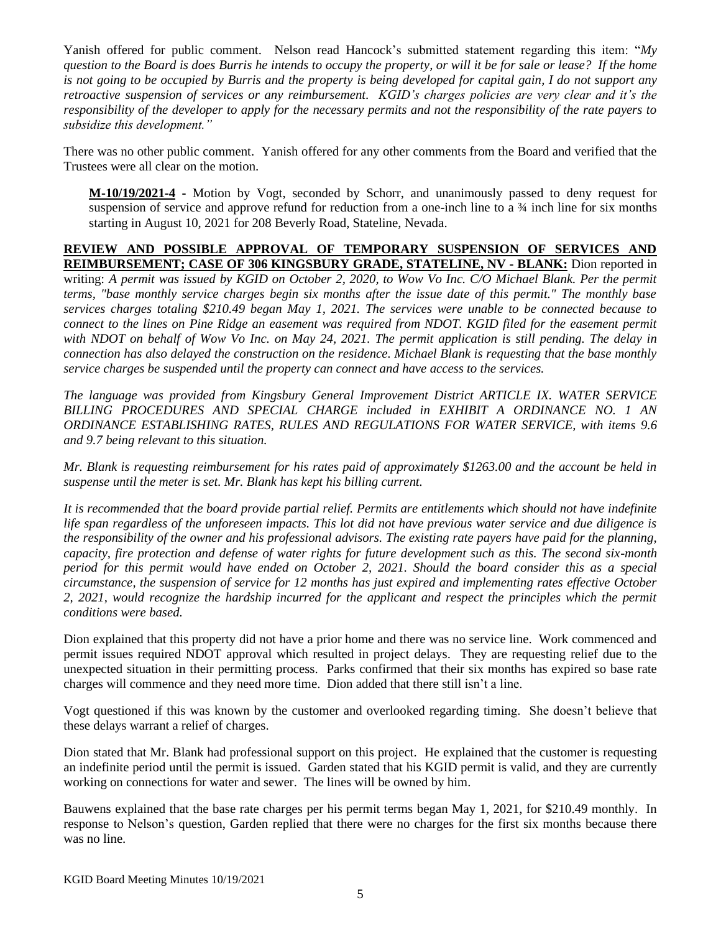Yanish offered for public comment. Nelson read Hancock's submitted statement regarding this item: "*My question to the Board is does Burris he intends to occupy the property, or will it be for sale or lease? If the home is not going to be occupied by Burris and the property is being developed for capital gain, I do not support any retroactive suspension of services or any reimbursement. KGID's charges policies are very clear and it's the responsibility of the developer to apply for the necessary permits and not the responsibility of the rate payers to subsidize this development."*

There was no other public comment. Yanish offered for any other comments from the Board and verified that the Trustees were all clear on the motion.

**M-10/19/2021-4 -** Motion by Vogt, seconded by Schorr, and unanimously passed to deny request for suspension of service and approve refund for reduction from a one-inch line to a  $\frac{3}{4}$  inch line for six months starting in August 10, 2021 for 208 Beverly Road, Stateline, Nevada.

**REVIEW AND POSSIBLE APPROVAL OF TEMPORARY SUSPENSION OF SERVICES AND REIMBURSEMENT; CASE OF 306 KINGSBURY GRADE, STATELINE, NV - BLANK:** Dion reported in writing: *A permit was issued by KGID on October 2, 2020, to Wow Vo Inc. C/O Michael Blank. Per the permit terms, "base monthly service charges begin six months after the issue date of this permit." The monthly base services charges totaling \$210.49 began May 1, 2021. The services were unable to be connected because to connect to the lines on Pine Ridge an easement was required from NDOT. KGID filed for the easement permit with NDOT on behalf of Wow Vo Inc. on May 24, 2021. The permit application is still pending. The delay in connection has also delayed the construction on the residence. Michael Blank is requesting that the base monthly service charges be suspended until the property can connect and have access to the services.* 

*The language was provided from Kingsbury General Improvement District ARTICLE IX. WATER SERVICE BILLING PROCEDURES AND SPECIAL CHARGE included in EXHIBIT A ORDINANCE NO. 1 AN ORDINANCE ESTABLISHING RATES, RULES AND REGULATIONS FOR WATER SERVICE, with items 9.6 and 9.7 being relevant to this situation.* 

*Mr. Blank is requesting reimbursement for his rates paid of approximately \$1263.00 and the account be held in suspense until the meter is set. Mr. Blank has kept his billing current.* 

*It is recommended that the board provide partial relief. Permits are entitlements which should not have indefinite life span regardless of the unforeseen impacts. This lot did not have previous water service and due diligence is the responsibility of the owner and his professional advisors. The existing rate payers have paid for the planning, capacity, fire protection and defense of water rights for future development such as this. The second six-month period for this permit would have ended on October 2, 2021. Should the board consider this as a special circumstance, the suspension of service for 12 months has just expired and implementing rates effective October 2, 2021, would recognize the hardship incurred for the applicant and respect the principles which the permit conditions were based.*

Dion explained that this property did not have a prior home and there was no service line. Work commenced and permit issues required NDOT approval which resulted in project delays. They are requesting relief due to the unexpected situation in their permitting process. Parks confirmed that their six months has expired so base rate charges will commence and they need more time. Dion added that there still isn't a line.

Vogt questioned if this was known by the customer and overlooked regarding timing. She doesn't believe that these delays warrant a relief of charges.

Dion stated that Mr. Blank had professional support on this project. He explained that the customer is requesting an indefinite period until the permit is issued. Garden stated that his KGID permit is valid, and they are currently working on connections for water and sewer. The lines will be owned by him.

Bauwens explained that the base rate charges per his permit terms began May 1, 2021, for \$210.49 monthly. In response to Nelson's question, Garden replied that there were no charges for the first six months because there was no line.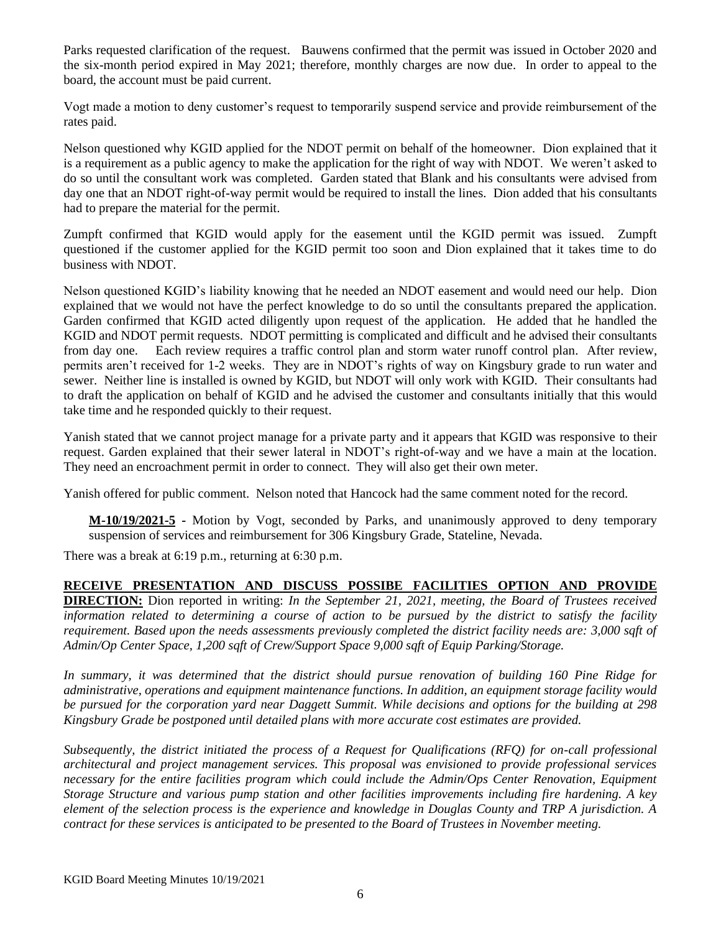Parks requested clarification of the request. Bauwens confirmed that the permit was issued in October 2020 and the six-month period expired in May 2021; therefore, monthly charges are now due. In order to appeal to the board, the account must be paid current.

Vogt made a motion to deny customer's request to temporarily suspend service and provide reimbursement of the rates paid.

Nelson questioned why KGID applied for the NDOT permit on behalf of the homeowner. Dion explained that it is a requirement as a public agency to make the application for the right of way with NDOT. We weren't asked to do so until the consultant work was completed. Garden stated that Blank and his consultants were advised from day one that an NDOT right-of-way permit would be required to install the lines. Dion added that his consultants had to prepare the material for the permit.

Zumpft confirmed that KGID would apply for the easement until the KGID permit was issued. Zumpft questioned if the customer applied for the KGID permit too soon and Dion explained that it takes time to do business with NDOT.

Nelson questioned KGID's liability knowing that he needed an NDOT easement and would need our help. Dion explained that we would not have the perfect knowledge to do so until the consultants prepared the application. Garden confirmed that KGID acted diligently upon request of the application. He added that he handled the KGID and NDOT permit requests. NDOT permitting is complicated and difficult and he advised their consultants from day one. Each review requires a traffic control plan and storm water runoff control plan. After review, permits aren't received for 1-2 weeks. They are in NDOT's rights of way on Kingsbury grade to run water and sewer. Neither line is installed is owned by KGID, but NDOT will only work with KGID. Their consultants had to draft the application on behalf of KGID and he advised the customer and consultants initially that this would take time and he responded quickly to their request.

Yanish stated that we cannot project manage for a private party and it appears that KGID was responsive to their request. Garden explained that their sewer lateral in NDOT's right-of-way and we have a main at the location. They need an encroachment permit in order to connect. They will also get their own meter.

Yanish offered for public comment. Nelson noted that Hancock had the same comment noted for the record.

**M-10/19/2021-5 -** Motion by Vogt, seconded by Parks, and unanimously approved to deny temporary suspension of services and reimbursement for 306 Kingsbury Grade, Stateline, Nevada.

There was a break at 6:19 p.m., returning at 6:30 p.m.

## **RECEIVE PRESENTATION AND DISCUSS POSSIBE FACILITIES OPTION AND PROVIDE**

**DIRECTION:** Dion reported in writing: *In the September 21, 2021, meeting, the Board of Trustees received information related to determining a course of action to be pursued by the district to satisfy the facility requirement. Based upon the needs assessments previously completed the district facility needs are: 3,000 sqft of Admin/Op Center Space, 1,200 sqft of Crew/Support Space 9,000 sqft of Equip Parking/Storage.*

*In summary, it was determined that the district should pursue renovation of building 160 Pine Ridge for administrative, operations and equipment maintenance functions. In addition, an equipment storage facility would be pursued for the corporation yard near Daggett Summit. While decisions and options for the building at 298 Kingsbury Grade be postponed until detailed plans with more accurate cost estimates are provided.* 

*Subsequently, the district initiated the process of a Request for Qualifications (RFQ) for on-call professional architectural and project management services. This proposal was envisioned to provide professional services necessary for the entire facilities program which could include the Admin/Ops Center Renovation, Equipment Storage Structure and various pump station and other facilities improvements including fire hardening. A key element of the selection process is the experience and knowledge in Douglas County and TRP A jurisdiction. A contract for these services is anticipated to be presented to the Board of Trustees in November meeting.*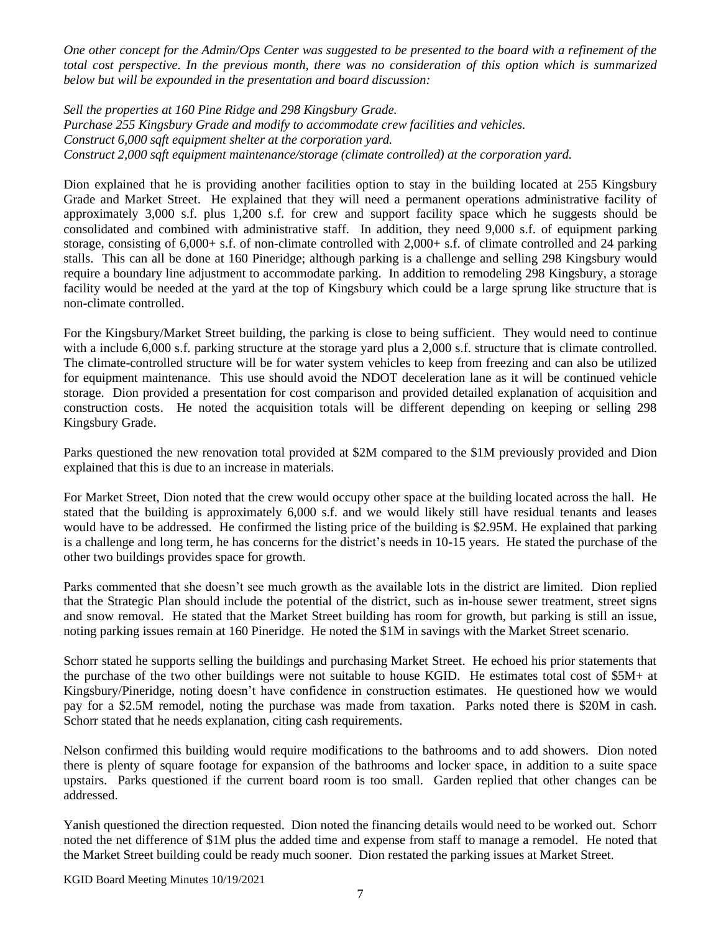*One other concept for the Admin/Ops Center was suggested to be presented to the board with a refinement of the total cost perspective. In the previous month, there was no consideration of this option which is summarized below but will be expounded in the presentation and board discussion:* 

*Sell the properties at 160 Pine Ridge and 298 Kingsbury Grade. Purchase 255 Kingsbury Grade and modify to accommodate crew facilities and vehicles. Construct 6,000 sqft equipment shelter at the corporation yard. Construct 2,000 sqft equipment maintenance/storage (climate controlled) at the corporation yard.*

Dion explained that he is providing another facilities option to stay in the building located at 255 Kingsbury Grade and Market Street. He explained that they will need a permanent operations administrative facility of approximately 3,000 s.f. plus 1,200 s.f. for crew and support facility space which he suggests should be consolidated and combined with administrative staff. In addition, they need 9,000 s.f. of equipment parking storage, consisting of  $6,000+$  s.f. of non-climate controlled with  $2,000+$  s.f. of climate controlled and 24 parking stalls. This can all be done at 160 Pineridge; although parking is a challenge and selling 298 Kingsbury would require a boundary line adjustment to accommodate parking. In addition to remodeling 298 Kingsbury, a storage facility would be needed at the yard at the top of Kingsbury which could be a large sprung like structure that is non-climate controlled.

For the Kingsbury/Market Street building, the parking is close to being sufficient. They would need to continue with a include 6,000 s.f. parking structure at the storage yard plus a 2,000 s.f. structure that is climate controlled. The climate-controlled structure will be for water system vehicles to keep from freezing and can also be utilized for equipment maintenance. This use should avoid the NDOT deceleration lane as it will be continued vehicle storage. Dion provided a presentation for cost comparison and provided detailed explanation of acquisition and construction costs. He noted the acquisition totals will be different depending on keeping or selling 298 Kingsbury Grade.

Parks questioned the new renovation total provided at \$2M compared to the \$1M previously provided and Dion explained that this is due to an increase in materials.

For Market Street, Dion noted that the crew would occupy other space at the building located across the hall. He stated that the building is approximately 6,000 s.f. and we would likely still have residual tenants and leases would have to be addressed. He confirmed the listing price of the building is \$2.95M. He explained that parking is a challenge and long term, he has concerns for the district's needs in 10-15 years. He stated the purchase of the other two buildings provides space for growth.

Parks commented that she doesn't see much growth as the available lots in the district are limited. Dion replied that the Strategic Plan should include the potential of the district, such as in-house sewer treatment, street signs and snow removal. He stated that the Market Street building has room for growth, but parking is still an issue, noting parking issues remain at 160 Pineridge. He noted the \$1M in savings with the Market Street scenario.

Schorr stated he supports selling the buildings and purchasing Market Street. He echoed his prior statements that the purchase of the two other buildings were not suitable to house KGID. He estimates total cost of \$5M+ at Kingsbury/Pineridge, noting doesn't have confidence in construction estimates. He questioned how we would pay for a \$2.5M remodel, noting the purchase was made from taxation. Parks noted there is \$20M in cash. Schorr stated that he needs explanation, citing cash requirements.

Nelson confirmed this building would require modifications to the bathrooms and to add showers. Dion noted there is plenty of square footage for expansion of the bathrooms and locker space, in addition to a suite space upstairs. Parks questioned if the current board room is too small. Garden replied that other changes can be addressed.

Yanish questioned the direction requested. Dion noted the financing details would need to be worked out. Schorr noted the net difference of \$1M plus the added time and expense from staff to manage a remodel. He noted that the Market Street building could be ready much sooner. Dion restated the parking issues at Market Street.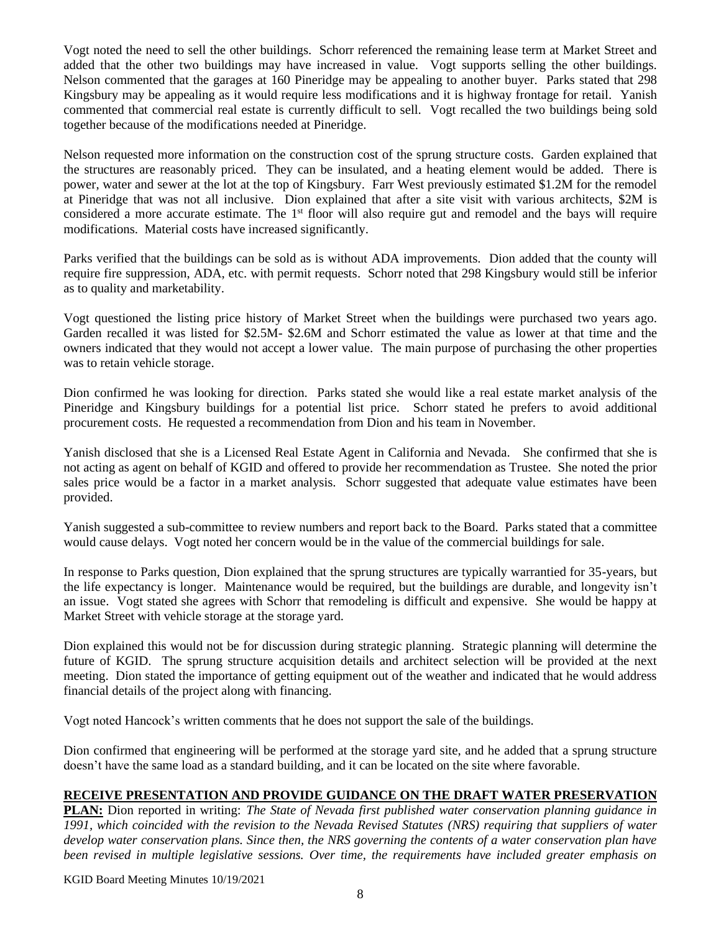Vogt noted the need to sell the other buildings. Schorr referenced the remaining lease term at Market Street and added that the other two buildings may have increased in value. Vogt supports selling the other buildings. Nelson commented that the garages at 160 Pineridge may be appealing to another buyer. Parks stated that 298 Kingsbury may be appealing as it would require less modifications and it is highway frontage for retail. Yanish commented that commercial real estate is currently difficult to sell. Vogt recalled the two buildings being sold together because of the modifications needed at Pineridge.

Nelson requested more information on the construction cost of the sprung structure costs. Garden explained that the structures are reasonably priced. They can be insulated, and a heating element would be added. There is power, water and sewer at the lot at the top of Kingsbury. Farr West previously estimated \$1.2M for the remodel at Pineridge that was not all inclusive. Dion explained that after a site visit with various architects, \$2M is considered a more accurate estimate. The 1<sup>st</sup> floor will also require gut and remodel and the bays will require modifications. Material costs have increased significantly.

Parks verified that the buildings can be sold as is without ADA improvements. Dion added that the county will require fire suppression, ADA, etc. with permit requests. Schorr noted that 298 Kingsbury would still be inferior as to quality and marketability.

Vogt questioned the listing price history of Market Street when the buildings were purchased two years ago. Garden recalled it was listed for \$2.5M- \$2.6M and Schorr estimated the value as lower at that time and the owners indicated that they would not accept a lower value. The main purpose of purchasing the other properties was to retain vehicle storage.

Dion confirmed he was looking for direction. Parks stated she would like a real estate market analysis of the Pineridge and Kingsbury buildings for a potential list price. Schorr stated he prefers to avoid additional procurement costs. He requested a recommendation from Dion and his team in November.

Yanish disclosed that she is a Licensed Real Estate Agent in California and Nevada. She confirmed that she is not acting as agent on behalf of KGID and offered to provide her recommendation as Trustee. She noted the prior sales price would be a factor in a market analysis. Schorr suggested that adequate value estimates have been provided.

Yanish suggested a sub-committee to review numbers and report back to the Board. Parks stated that a committee would cause delays. Vogt noted her concern would be in the value of the commercial buildings for sale.

In response to Parks question, Dion explained that the sprung structures are typically warrantied for 35-years, but the life expectancy is longer. Maintenance would be required, but the buildings are durable, and longevity isn't an issue. Vogt stated she agrees with Schorr that remodeling is difficult and expensive. She would be happy at Market Street with vehicle storage at the storage yard.

Dion explained this would not be for discussion during strategic planning. Strategic planning will determine the future of KGID. The sprung structure acquisition details and architect selection will be provided at the next meeting. Dion stated the importance of getting equipment out of the weather and indicated that he would address financial details of the project along with financing.

Vogt noted Hancock's written comments that he does not support the sale of the buildings.

Dion confirmed that engineering will be performed at the storage yard site, and he added that a sprung structure doesn't have the same load as a standard building, and it can be located on the site where favorable.

## **RECEIVE PRESENTATION AND PROVIDE GUIDANCE ON THE DRAFT WATER PRESERVATION**

**PLAN:** Dion reported in writing: *The State of Nevada first published water conservation planning guidance in 1991, which coincided with the revision to the Nevada Revised Statutes (NRS) requiring that suppliers of water develop water conservation plans. Since then, the NRS governing the contents of a water conservation plan have been revised in multiple legislative sessions. Over time, the requirements have included greater emphasis on*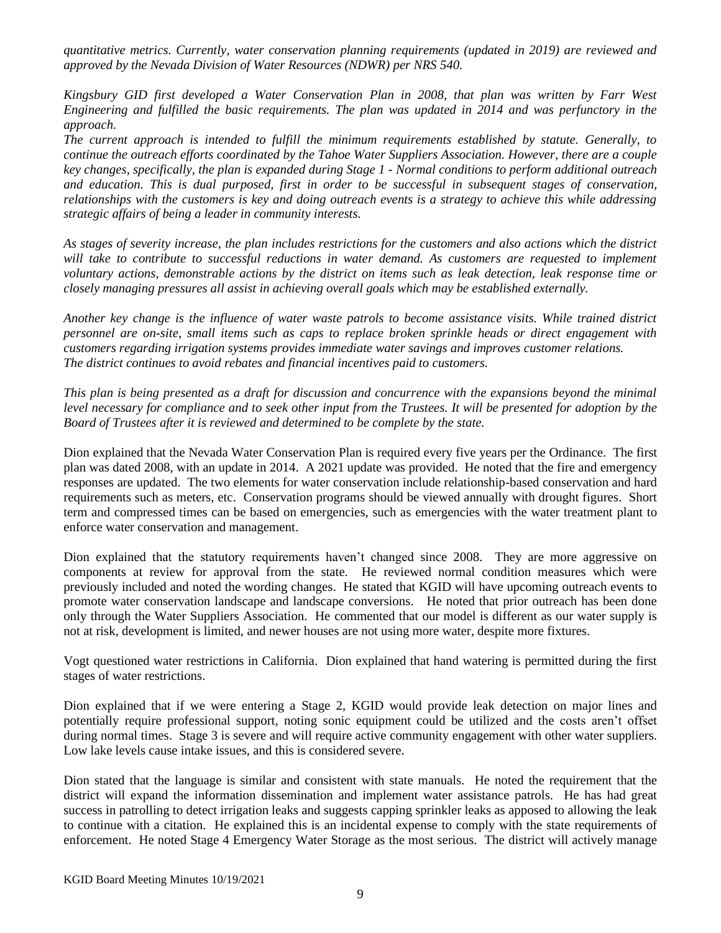*quantitative metrics. Currently, water conservation planning requirements (updated in 2019) are reviewed and approved by the Nevada Division of Water Resources (NDWR) per NRS 540.* 

*Kingsbury GID first developed a Water Conservation Plan in 2008, that plan was written by Farr West Engineering and fulfilled the basic requirements. The plan was updated in 2014 and was perfunctory in the approach.* 

*The current approach is intended to fulfill the minimum requirements established by statute. Generally, to continue the outreach efforts coordinated by the Tahoe Water Suppliers Association. However, there are a couple key changes, specifically, the plan is expanded during Stage 1 - Normal conditions to perform additional outreach and education. This is dual purposed, first in order to be successful in subsequent stages of conservation, relationships with the customers is key and doing outreach events is a strategy to achieve this while addressing strategic affairs of being a leader in community interests.* 

*As stages of severity increase, the plan includes restrictions for the customers and also actions which the district*  will take to contribute to successful reductions in water demand. As customers are requested to implement *voluntary actions, demonstrable actions by the district on items such as leak detection, leak response time or closely managing pressures all assist in achieving overall goals which may be established externally.* 

*Another key change is the influence of water waste patrols to become assistance visits. While trained district personnel are on-site, small items such as caps to replace broken sprinkle heads or direct engagement with customers regarding irrigation systems provides immediate water savings and improves customer relations. The district continues to avoid rebates and financial incentives paid to customers.*

*This plan is being presented as a draft for discussion and concurrence with the expansions beyond the minimal level necessary for compliance and to seek other input from the Trustees. It will be presented for adoption by the Board of Trustees after it is reviewed and determined to be complete by the state.*

Dion explained that the Nevada Water Conservation Plan is required every five years per the Ordinance. The first plan was dated 2008, with an update in 2014. A 2021 update was provided. He noted that the fire and emergency responses are updated. The two elements for water conservation include relationship-based conservation and hard requirements such as meters, etc. Conservation programs should be viewed annually with drought figures. Short term and compressed times can be based on emergencies, such as emergencies with the water treatment plant to enforce water conservation and management.

Dion explained that the statutory requirements haven't changed since 2008. They are more aggressive on components at review for approval from the state. He reviewed normal condition measures which were previously included and noted the wording changes. He stated that KGID will have upcoming outreach events to promote water conservation landscape and landscape conversions. He noted that prior outreach has been done only through the Water Suppliers Association. He commented that our model is different as our water supply is not at risk, development is limited, and newer houses are not using more water, despite more fixtures.

Vogt questioned water restrictions in California. Dion explained that hand watering is permitted during the first stages of water restrictions.

Dion explained that if we were entering a Stage 2, KGID would provide leak detection on major lines and potentially require professional support, noting sonic equipment could be utilized and the costs aren't offset during normal times. Stage 3 is severe and will require active community engagement with other water suppliers. Low lake levels cause intake issues, and this is considered severe.

Dion stated that the language is similar and consistent with state manuals. He noted the requirement that the district will expand the information dissemination and implement water assistance patrols. He has had great success in patrolling to detect irrigation leaks and suggests capping sprinkler leaks as apposed to allowing the leak to continue with a citation. He explained this is an incidental expense to comply with the state requirements of enforcement. He noted Stage 4 Emergency Water Storage as the most serious. The district will actively manage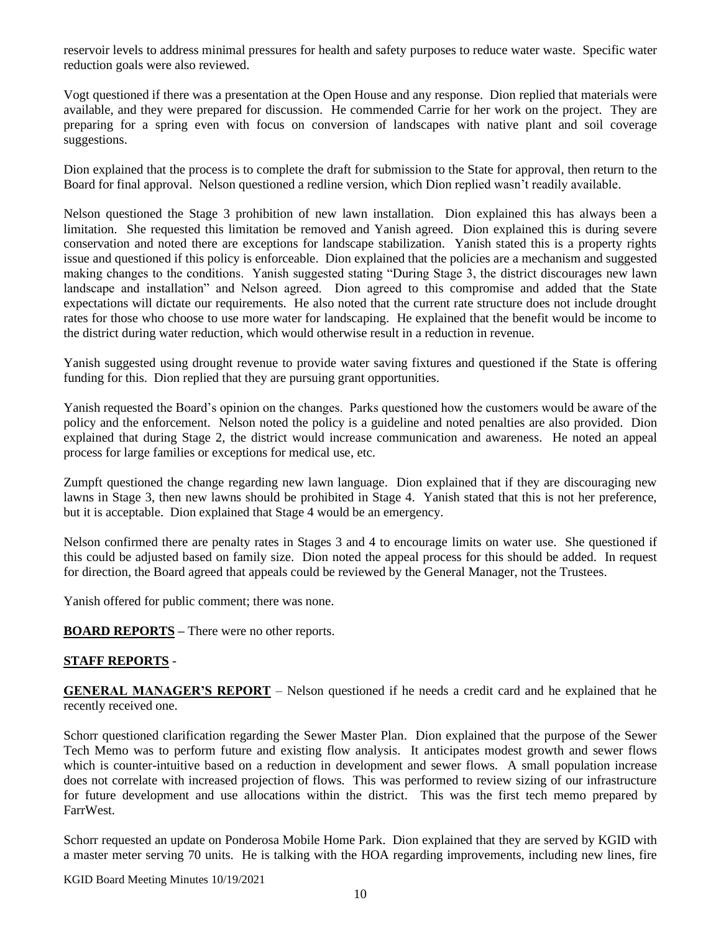reservoir levels to address minimal pressures for health and safety purposes to reduce water waste. Specific water reduction goals were also reviewed.

Vogt questioned if there was a presentation at the Open House and any response. Dion replied that materials were available, and they were prepared for discussion. He commended Carrie for her work on the project. They are preparing for a spring even with focus on conversion of landscapes with native plant and soil coverage suggestions.

Dion explained that the process is to complete the draft for submission to the State for approval, then return to the Board for final approval. Nelson questioned a redline version, which Dion replied wasn't readily available.

Nelson questioned the Stage 3 prohibition of new lawn installation. Dion explained this has always been a limitation. She requested this limitation be removed and Yanish agreed. Dion explained this is during severe conservation and noted there are exceptions for landscape stabilization. Yanish stated this is a property rights issue and questioned if this policy is enforceable. Dion explained that the policies are a mechanism and suggested making changes to the conditions. Yanish suggested stating "During Stage 3, the district discourages new lawn landscape and installation" and Nelson agreed. Dion agreed to this compromise and added that the State expectations will dictate our requirements. He also noted that the current rate structure does not include drought rates for those who choose to use more water for landscaping. He explained that the benefit would be income to the district during water reduction, which would otherwise result in a reduction in revenue.

Yanish suggested using drought revenue to provide water saving fixtures and questioned if the State is offering funding for this. Dion replied that they are pursuing grant opportunities.

Yanish requested the Board's opinion on the changes. Parks questioned how the customers would be aware of the policy and the enforcement. Nelson noted the policy is a guideline and noted penalties are also provided. Dion explained that during Stage 2, the district would increase communication and awareness. He noted an appeal process for large families or exceptions for medical use, etc.

Zumpft questioned the change regarding new lawn language. Dion explained that if they are discouraging new lawns in Stage 3, then new lawns should be prohibited in Stage 4. Yanish stated that this is not her preference, but it is acceptable. Dion explained that Stage 4 would be an emergency.

Nelson confirmed there are penalty rates in Stages 3 and 4 to encourage limits on water use. She questioned if this could be adjusted based on family size. Dion noted the appeal process for this should be added. In request for direction, the Board agreed that appeals could be reviewed by the General Manager, not the Trustees.

Yanish offered for public comment; there was none.

**BOARD REPORTS –** There were no other reports.

## **STAFF REPORTS** -

**GENERAL MANAGER'S REPORT** – Nelson questioned if he needs a credit card and he explained that he recently received one.

Schorr questioned clarification regarding the Sewer Master Plan. Dion explained that the purpose of the Sewer Tech Memo was to perform future and existing flow analysis. It anticipates modest growth and sewer flows which is counter-intuitive based on a reduction in development and sewer flows. A small population increase does not correlate with increased projection of flows. This was performed to review sizing of our infrastructure for future development and use allocations within the district. This was the first tech memo prepared by FarrWest.

Schorr requested an update on Ponderosa Mobile Home Park. Dion explained that they are served by KGID with a master meter serving 70 units. He is talking with the HOA regarding improvements, including new lines, fire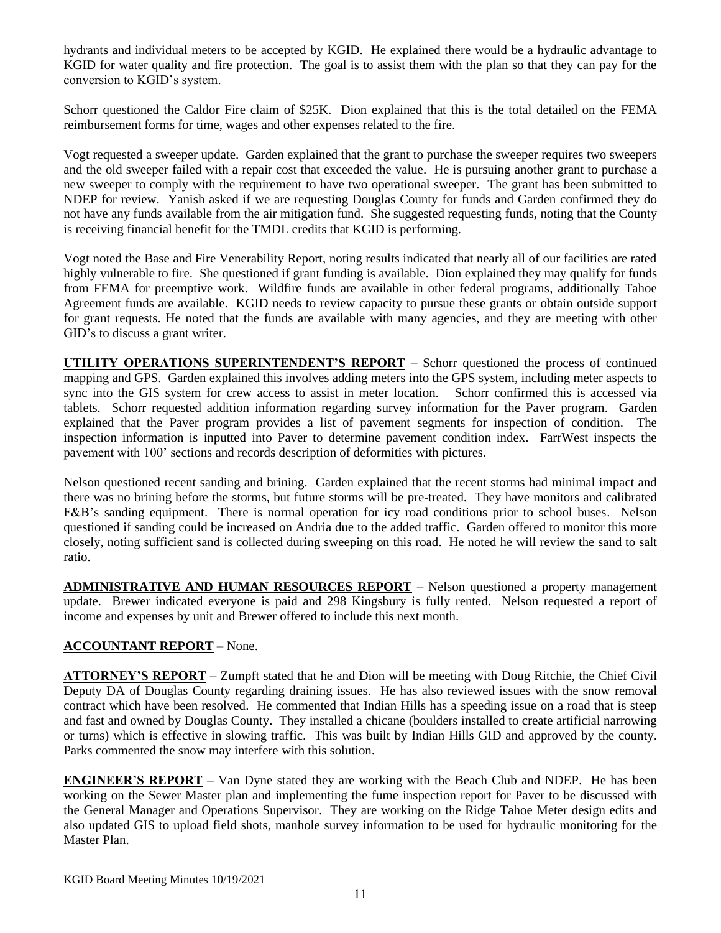hydrants and individual meters to be accepted by KGID. He explained there would be a hydraulic advantage to KGID for water quality and fire protection. The goal is to assist them with the plan so that they can pay for the conversion to KGID's system.

Schorr questioned the Caldor Fire claim of \$25K. Dion explained that this is the total detailed on the FEMA reimbursement forms for time, wages and other expenses related to the fire.

Vogt requested a sweeper update. Garden explained that the grant to purchase the sweeper requires two sweepers and the old sweeper failed with a repair cost that exceeded the value. He is pursuing another grant to purchase a new sweeper to comply with the requirement to have two operational sweeper. The grant has been submitted to NDEP for review. Yanish asked if we are requesting Douglas County for funds and Garden confirmed they do not have any funds available from the air mitigation fund. She suggested requesting funds, noting that the County is receiving financial benefit for the TMDL credits that KGID is performing.

Vogt noted the Base and Fire Venerability Report, noting results indicated that nearly all of our facilities are rated highly vulnerable to fire. She questioned if grant funding is available. Dion explained they may qualify for funds from FEMA for preemptive work. Wildfire funds are available in other federal programs, additionally Tahoe Agreement funds are available. KGID needs to review capacity to pursue these grants or obtain outside support for grant requests. He noted that the funds are available with many agencies, and they are meeting with other GID's to discuss a grant writer.

**UTILITY OPERATIONS SUPERINTENDENT'S REPORT** – Schorr questioned the process of continued mapping and GPS. Garden explained this involves adding meters into the GPS system, including meter aspects to sync into the GIS system for crew access to assist in meter location. Schorr confirmed this is accessed via tablets. Schorr requested addition information regarding survey information for the Paver program. Garden explained that the Paver program provides a list of pavement segments for inspection of condition. The inspection information is inputted into Paver to determine pavement condition index. FarrWest inspects the pavement with 100' sections and records description of deformities with pictures.

Nelson questioned recent sanding and brining. Garden explained that the recent storms had minimal impact and there was no brining before the storms, but future storms will be pre-treated. They have monitors and calibrated F&B's sanding equipment. There is normal operation for icy road conditions prior to school buses. Nelson questioned if sanding could be increased on Andria due to the added traffic. Garden offered to monitor this more closely, noting sufficient sand is collected during sweeping on this road. He noted he will review the sand to salt ratio.

**ADMINISTRATIVE AND HUMAN RESOURCES REPORT** – Nelson questioned a property management update. Brewer indicated everyone is paid and 298 Kingsbury is fully rented. Nelson requested a report of income and expenses by unit and Brewer offered to include this next month.

# **ACCOUNTANT REPORT** – None.

**ATTORNEY'S REPORT** – Zumpft stated that he and Dion will be meeting with Doug Ritchie, the Chief Civil Deputy DA of Douglas County regarding draining issues. He has also reviewed issues with the snow removal contract which have been resolved. He commented that Indian Hills has a speeding issue on a road that is steep and fast and owned by Douglas County. They installed a chicane (boulders installed to create artificial narrowing or turns) which is effective in slowing traffic. This was built by Indian Hills GID and approved by the county. Parks commented the snow may interfere with this solution.

**ENGINEER'S REPORT** – Van Dyne stated they are working with the Beach Club and NDEP. He has been working on the Sewer Master plan and implementing the fume inspection report for Paver to be discussed with the General Manager and Operations Supervisor. They are working on the Ridge Tahoe Meter design edits and also updated GIS to upload field shots, manhole survey information to be used for hydraulic monitoring for the Master Plan.